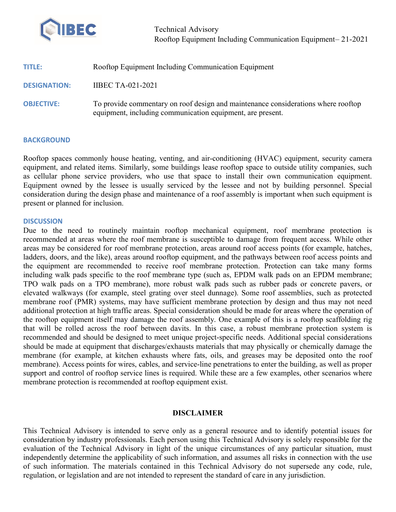

Technical Advisory Rooftop Equipment Including Communication Equipment– 21-2021

| TITLE:              | Rooftop Equipment Including Communication Equipment                                                                                             |
|---------------------|-------------------------------------------------------------------------------------------------------------------------------------------------|
| <b>DESIGNATION:</b> | <b>IIBEC TA-021-2021</b>                                                                                                                        |
| <b>OBJECTIVE:</b>   | To provide commentary on roof design and maintenance considerations where rooftop<br>equipment, including communication equipment, are present. |

## **BACKGROUND**

Rooftop spaces commonly house heating, venting, and air-conditioning (HVAC) equipment, security camera equipment, and related items. Similarly, some buildings lease rooftop space to outside utility companies, such as cellular phone service providers, who use that space to install their own communication equipment. Equipment owned by the lessee is usually serviced by the lessee and not by building personnel. Special consideration during the design phase and maintenance of a roof assembly is important when such equipment is present or planned for inclusion.

## **DISCUSSION**

Due to the need to routinely maintain rooftop mechanical equipment, roof membrane protection is recommended at areas where the roof membrane is susceptible to damage from frequent access. While other areas may be considered for roof membrane protection, areas around roof access points (for example, hatches, ladders, doors, and the like), areas around rooftop equipment, and the pathways between roof access points and the equipment are recommended to receive roof membrane protection. Protection can take many forms including walk pads specific to the roof membrane type (such as, EPDM walk pads on an EPDM membrane; TPO walk pads on a TPO membrane), more robust walk pads such as rubber pads or concrete pavers, or elevated walkways (for example, steel grating over steel dunnage). Some roof assemblies, such as protected membrane roof (PMR) systems, may have sufficient membrane protection by design and thus may not need additional protection at high traffic areas. Special consideration should be made for areas where the operation of the rooftop equipment itself may damage the roof assembly. One example of this is a rooftop scaffolding rig that will be rolled across the roof between davits. In this case, a robust membrane protection system is recommended and should be designed to meet unique project-specific needs. Additional special considerations should be made at equipment that discharges/exhausts materials that may physically or chemically damage the membrane (for example, at kitchen exhausts where fats, oils, and greases may be deposited onto the roof membrane). Access points for wires, cables, and service-line penetrations to enter the building, as well as proper support and control of rooftop service lines is required. While these are a few examples, other scenarios where membrane protection is recommended at rooftop equipment exist.

## DISCLAIMER

This Technical Advisory is intended to serve only as a general resource and to identify potential issues for consideration by industry professionals. Each person using this Technical Advisory is solely responsible for the evaluation of the Technical Advisory in light of the unique circumstances of any particular situation, must independently determine the applicability of such information, and assumes all risks in connection with the use of such information. The materials contained in this Technical Advisory do not supersede any code, rule, regulation, or legislation and are not intended to represent the standard of care in any jurisdiction.